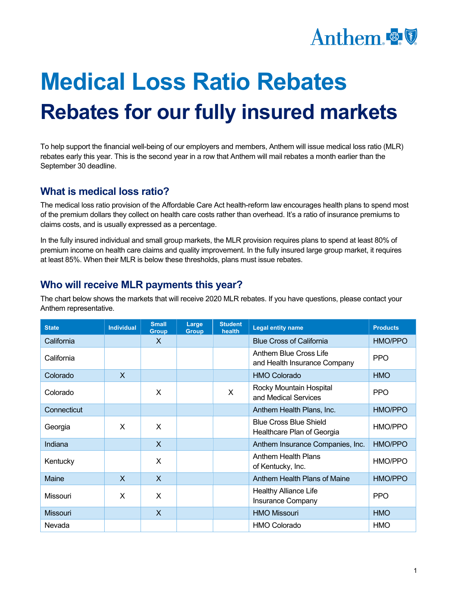

## **Medical Loss Ratio Rebates Rebates for our fully insured markets**

To help support the financial well-being of our employers and members, Anthem will issue medical loss ratio (MLR) rebates early this year. This is the second year in a row that Anthem will mail rebates a month earlier than the September 30 deadline.

## **What is medical loss ratio?**

The medical loss ratio provision of the Affordable Care Act health-reform law encourages health plans to spend most of the premium dollars they collect on health care costs rather than overhead. It's a ratio of insurance premiums to claims costs, and is usually expressed as a percentage.

In the fully insured individual and small group markets, the MLR provision requires plans to spend at least 80% of premium income on health care claims and quality improvement. In the fully insured large group market, it requires at least 85%. When their MLR is below these thresholds, plans must issue rebates.

## **Who will receive MLR payments this year?**

The chart below shows the markets that will receive 2020 MLR rebates. If you have questions, please contact your Anthem representative.

| <b>State</b>    | <b>Individual</b> | <b>Small</b><br>Group | Large<br><b>Group</b> | <b>Student</b><br>health | <b>Legal entity name</b>                                    | <b>Products</b> |
|-----------------|-------------------|-----------------------|-----------------------|--------------------------|-------------------------------------------------------------|-----------------|
| California      |                   | X                     |                       |                          | <b>Blue Cross of California</b>                             | <b>HMO/PPO</b>  |
| California      |                   |                       |                       |                          | Anthem Blue Cross Life<br>and Health Insurance Company      | <b>PPO</b>      |
| Colorado        | X                 |                       |                       |                          | <b>HMO Colorado</b>                                         | <b>HMO</b>      |
| Colorado        |                   | X                     |                       | X                        | Rocky Mountain Hospital<br>and Medical Services             | <b>PPO</b>      |
| Connecticut     |                   |                       |                       |                          | Anthem Health Plans, Inc.                                   | <b>HMO/PPO</b>  |
| Georgia         | X                 | X                     |                       |                          | <b>Blue Cross Blue Shield</b><br>Healthcare Plan of Georgia | HMO/PPO         |
| Indiana         |                   | X                     |                       |                          | Anthem Insurance Companies, Inc.                            | HMO/PPO         |
| Kentucky        |                   | X                     |                       |                          | <b>Anthem Health Plans</b><br>of Kentucky, Inc.             | HMO/PPO         |
| <b>Maine</b>    | $\mathsf{x}$      | $\mathsf{x}$          |                       |                          | Anthem Health Plans of Maine                                | HMO/PPO         |
| Missouri        | X                 | X                     |                       |                          | <b>Healthy Alliance Life</b><br>Insurance Company           | <b>PPO</b>      |
| <b>Missouri</b> |                   | X                     |                       |                          | <b>HMO Missouri</b>                                         | <b>HMO</b>      |
| Nevada          |                   |                       |                       |                          | <b>HMO Colorado</b>                                         | <b>HMO</b>      |